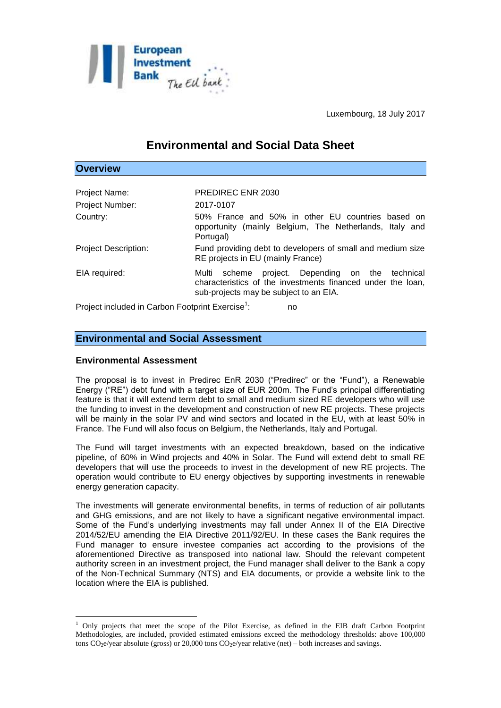

Luxembourg, 18 July 2017

# **Environmental and Social Data Sheet**

| <b>Overview</b>                                              |                                                                                                                                                              |
|--------------------------------------------------------------|--------------------------------------------------------------------------------------------------------------------------------------------------------------|
|                                                              |                                                                                                                                                              |
| Project Name:                                                | PREDIREC ENR 2030                                                                                                                                            |
| <b>Project Number:</b>                                       | 2017-0107                                                                                                                                                    |
| Country:                                                     | 50% France and 50% in other EU countries based on<br>opportunity (mainly Belgium, The Netherlands, Italy and<br>Portugal)                                    |
| <b>Project Description:</b>                                  | Fund providing debt to developers of small and medium size<br>RE projects in EU (mainly France)                                                              |
| EIA required:                                                | project. Depending on the technical<br>Multi scheme<br>characteristics of the investments financed under the loan,<br>sub-projects may be subject to an EIA. |
| Project included in Carbon Footprint Exercise <sup>1</sup> : | no                                                                                                                                                           |

# **Environmental and Social Assessment**

#### **Environmental Assessment**

1

The proposal is to invest in Predirec EnR 2030 ("Predirec" or the "Fund"), a Renewable Energy ("RE") debt fund with a target size of EUR 200m. The Fund's principal differentiating feature is that it will extend term debt to small and medium sized RE developers who will use the funding to invest in the development and construction of new RE projects. These projects will be mainly in the solar PV and wind sectors and located in the EU, with at least 50% in France. The Fund will also focus on Belgium, the Netherlands, Italy and Portugal.

The Fund will target investments with an expected breakdown, based on the indicative pipeline, of 60% in Wind projects and 40% in Solar. The Fund will extend debt to small RE developers that will use the proceeds to invest in the development of new RE projects. The operation would contribute to EU energy objectives by supporting investments in renewable energy generation capacity.

The investments will generate environmental benefits, in terms of reduction of air pollutants and GHG emissions, and are not likely to have a significant negative environmental impact. Some of the Fund's underlying investments may fall under Annex II of the EIA Directive 2014/52/EU amending the EIA Directive 2011/92/EU. In these cases the Bank requires the Fund manager to ensure investee companies act according to the provisions of the aforementioned Directive as transposed into national law. Should the relevant competent authority screen in an investment project, the Fund manager shall deliver to the Bank a copy of the Non-Technical Summary (NTS) and EIA documents, or provide a website link to the location where the EIA is published.

<sup>&</sup>lt;sup>1</sup> Only projects that meet the scope of the Pilot Exercise, as defined in the EIB draft Carbon Footprint Methodologies, are included, provided estimated emissions exceed the methodology thresholds: above 100,000 tons  $CO_2$ e/year absolute (gross) or 20,000 tons  $CO_2$ e/year relative (net) – both increases and savings.